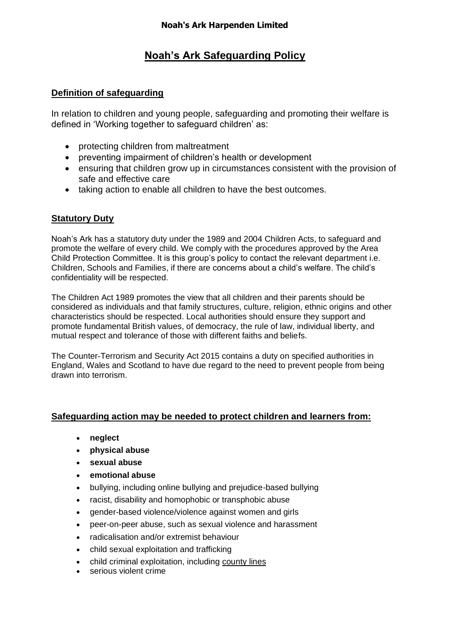# **Noah's Ark Safeguarding Policy**

## **Definition of safeguarding**

In relation to children and young people, safeguarding and promoting their welfare is defined in 'Working together to safeguard children' as:

- protecting children from maltreatment
- preventing impairment of children's health or development
- ensuring that children grow up in circumstances consistent with the provision of safe and effective care
- taking action to enable all children to have the best outcomes.

## **Statutory Duty**

Noah's Ark has a statutory duty under the 1989 and 2004 Children Acts, to safeguard and promote the welfare of every child. We comply with the procedures approved by the Area Child Protection Committee. It is this group's policy to contact the relevant department i.e. Children, Schools and Families, if there are concerns about a child's welfare. The child's confidentiality will be respected.

The Children Act 1989 promotes the view that all children and their parents should be considered as individuals and that family structures, culture, religion, ethnic origins and other characteristics should be respected. Local authorities should ensure they support and promote fundamental British values, of democracy, the rule of law, individual liberty, and mutual respect and tolerance of those with different faiths and beliefs.

The Counter-Terrorism and Security Act 2015 contains a duty on specified authorities in England, Wales and Scotland to have due regard to the need to prevent people from being drawn into terrorism.

## **Safeguarding action may be needed to protect children and learners from:**

- **neglect**
- **physical abuse**
- **sexual abuse**
- **emotional abuse**
- bullying, including online bullying and prejudice-based bullying
- racist, disability and homophobic or transphobic abuse
- gender-based violence/violence against women and girls
- peer-on-peer abuse, such as sexual violence and harassment
- radicalisation and/or extremist behaviour
- child sexual exploitation and trafficking
- child criminal exploitation, including [county](https://www.gov.uk/government/news/criminal-exploitation-and-county-lines-learn-from-past-mistakes-report-finds) lines
- serious violent crime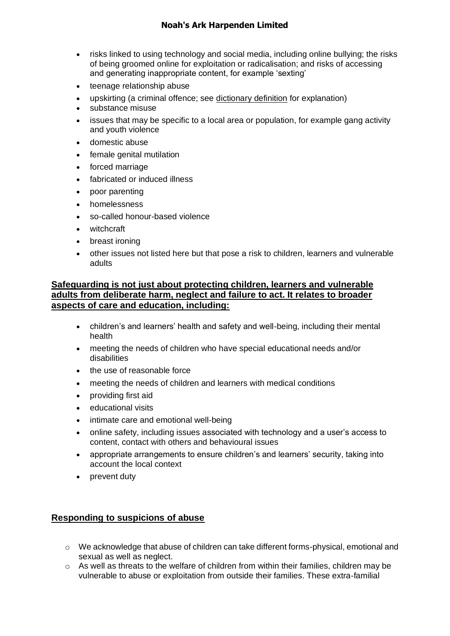- risks linked to using technology and social media, including online bullying; the risks of being groomed online for exploitation or radicalisation; and risks of accessing and generating inappropriate content, for example 'sexting'
- teenage relationship abuse
- upskirting (a criminal offence; see [dictionary](https://www.lexico.com/definition/upskirting) definition for explanation)
- substance misuse
- issues that may be specific to a local area or population, for example gang activity and youth violence
- domestic abuse
- female genital mutilation
- forced marriage
- fabricated or induced illness
- poor parenting
- homelessness
- so-called honour-based violence
- witchcraft
- breast ironing
- other issues not listed here but that pose a risk to children, learners and vulnerable adults

## **Safeguarding is not just about protecting children, learners and vulnerable adults from deliberate harm, neglect and failure to act. It relates to broader aspects of care and education, including:**

- children's and learners' health and safety and well-being, including their mental health
- meeting the needs of children who have special educational needs and/or disabilities
- the use of reasonable force
- meeting the needs of children and learners with medical conditions
- providing first aid
- educational visits
- intimate care and emotional well-being
- online safety, including issues associated with technology and a user's access to content, contact with others and behavioural issues
- appropriate arrangements to ensure children's and learners' security, taking into account the local context
- prevent duty

## **Responding to suspicions of abuse**

- o We acknowledge that abuse of children can take different forms-physical, emotional and sexual as well as neglect.
- $\circ$  As well as threats to the welfare of children from within their families, children may be vulnerable to abuse or exploitation from outside their families. These extra-familial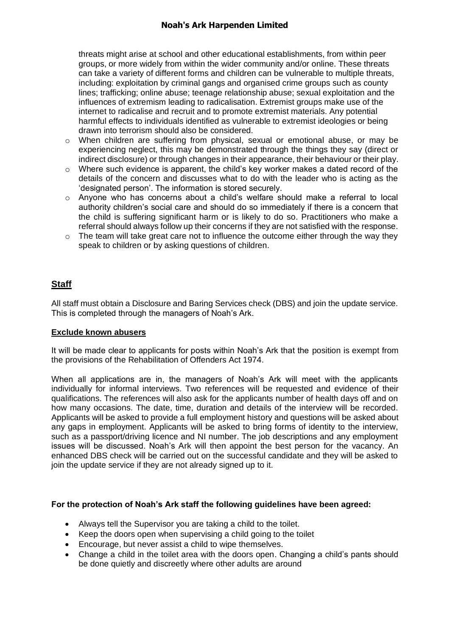threats might arise at school and other educational establishments, from within peer groups, or more widely from within the wider community and/or online. These threats can take a variety of different forms and children can be vulnerable to multiple threats, including: exploitation by criminal gangs and organised crime groups such as county lines; trafficking; online abuse; teenage relationship abuse; sexual exploitation and the influences of extremism leading to radicalisation. Extremist groups make use of the internet to radicalise and recruit and to promote extremist materials. Any potential harmful effects to individuals identified as vulnerable to extremist ideologies or being drawn into terrorism should also be considered.

- $\circ$  When children are suffering from physical, sexual or emotional abuse, or may be experiencing neglect, this may be demonstrated through the things they say (direct or indirect disclosure) or through changes in their appearance, their behaviour or their play.
- o Where such evidence is apparent, the child's key worker makes a dated record of the details of the concern and discusses what to do with the leader who is acting as the 'designated person'. The information is stored securely.
- $\circ$  Anyone who has concerns about a child's welfare should make a referral to local authority children's social care and should do so immediately if there is a concern that the child is suffering significant harm or is likely to do so. Practitioners who make a referral should always follow up their concerns if they are not satisfied with the response.
- $\circ$  The team will take great care not to influence the outcome either through the way they speak to children or by asking questions of children.

## **Staff**

All staff must obtain a Disclosure and Baring Services check (DBS) and join the update service. This is completed through the managers of Noah's Ark.

#### **Exclude known abusers**

It will be made clear to applicants for posts within Noah's Ark that the position is exempt from the provisions of the Rehabilitation of Offenders Act 1974.

When all applications are in, the managers of Noah's Ark will meet with the applicants individually for informal interviews. Two references will be requested and evidence of their qualifications. The references will also ask for the applicants number of health days off and on how many occasions. The date, time, duration and details of the interview will be recorded. Applicants will be asked to provide a full employment history and questions will be asked about any gaps in employment. Applicants will be asked to bring forms of identity to the interview, such as a passport/driving licence and NI number. The job descriptions and any employment issues will be discussed. Noah's Ark will then appoint the best person for the vacancy. An enhanced DBS check will be carried out on the successful candidate and they will be asked to join the update service if they are not already signed up to it.

#### **For the protection of Noah's Ark staff the following guidelines have been agreed:**

- Always tell the Supervisor you are taking a child to the toilet.
- Keep the doors open when supervising a child going to the toilet
- Encourage, but never assist a child to wipe themselves.
- Change a child in the toilet area with the doors open. Changing a child's pants should be done quietly and discreetly where other adults are around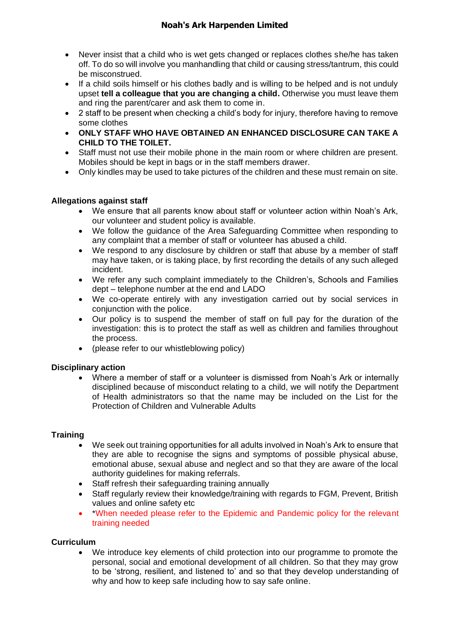- Never insist that a child who is wet gets changed or replaces clothes she/he has taken off. To do so will involve you manhandling that child or causing stress/tantrum, this could be misconstrued.
- If a child soils himself or his clothes badly and is willing to be helped and is not unduly upset **tell a colleague that you are changing a child.** Otherwise you must leave them and ring the parent/carer and ask them to come in.
- 2 staff to be present when checking a child's body for injury, therefore having to remove some clothes
- **ONLY STAFF WHO HAVE OBTAINED AN ENHANCED DISCLOSURE CAN TAKE A CHILD TO THE TOILET.**
- Staff must not use their mobile phone in the main room or where children are present. Mobiles should be kept in bags or in the staff members drawer.
- Only kindles may be used to take pictures of the children and these must remain on site.

#### **Allegations against staff**

- We ensure that all parents know about staff or volunteer action within Noah's Ark, our volunteer and student policy is available.
- We follow the guidance of the Area Safeguarding Committee when responding to any complaint that a member of staff or volunteer has abused a child.
- We respond to any disclosure by children or staff that abuse by a member of staff may have taken, or is taking place, by first recording the details of any such alleged incident.
- We refer any such complaint immediately to the Children's, Schools and Families dept – telephone number at the end and LADO
- We co-operate entirely with any investigation carried out by social services in conjunction with the police.
- Our policy is to suspend the member of staff on full pay for the duration of the investigation: this is to protect the staff as well as children and families throughout the process.
- (please refer to our whistleblowing policy)

#### **Disciplinary action**

• Where a member of staff or a volunteer is dismissed from Noah's Ark or internally disciplined because of misconduct relating to a child, we will notify the Department of Health administrators so that the name may be included on the List for the Protection of Children and Vulnerable Adults

#### **Training**

- We seek out training opportunities for all adults involved in Noah's Ark to ensure that they are able to recognise the signs and symptoms of possible physical abuse, emotional abuse, sexual abuse and neglect and so that they are aware of the local authority guidelines for making referrals.
- Staff refresh their safeguarding training annually
- Staff regularly review their knowledge/training with regards to FGM, Prevent, British values and online safety etc
- \*When needed please refer to the Epidemic and Pandemic policy for the relevant training needed

#### **Curriculum**

• We introduce key elements of child protection into our programme to promote the personal, social and emotional development of all children. So that they may grow to be 'strong, resilient, and listened to' and so that they develop understanding of why and how to keep safe including how to say safe online.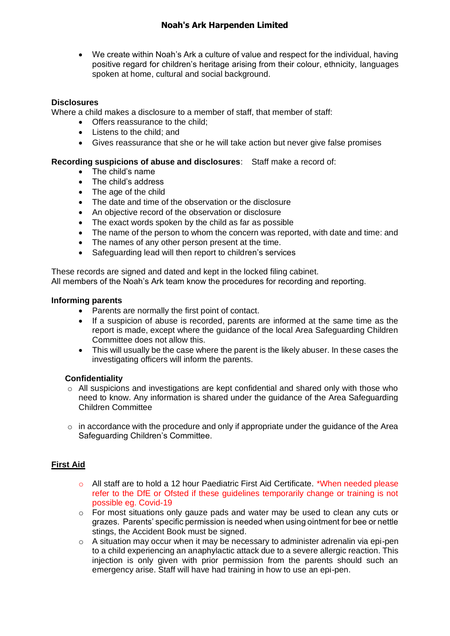• We create within Noah's Ark a culture of value and respect for the individual, having positive regard for children's heritage arising from their colour, ethnicity, languages spoken at home, cultural and social background.

#### **Disclosures**

Where a child makes a disclosure to a member of staff, that member of staff:

- Offers reassurance to the child:
- Listens to the child; and
- Gives reassurance that she or he will take action but never give false promises

#### **Recording suspicions of abuse and disclosures**: Staff make a record of:

- The child's name
- The child's address
- The age of the child
- The date and time of the observation or the disclosure
- An objective record of the observation or disclosure
- The exact words spoken by the child as far as possible
- The name of the person to whom the concern was reported, with date and time: and
- The names of any other person present at the time.
- Safeguarding lead will then report to children's services

These records are signed and dated and kept in the locked filing cabinet. All members of the Noah's Ark team know the procedures for recording and reporting.

#### **Informing parents**

- Parents are normally the first point of contact.
- If a suspicion of abuse is recorded, parents are informed at the same time as the report is made, except where the guidance of the local Area Safeguarding Children Committee does not allow this.
- This will usually be the case where the parent is the likely abuser. In these cases the investigating officers will inform the parents.

#### **Confidentiality**

- $\circ$  All suspicions and investigations are kept confidential and shared only with those who need to know. Any information is shared under the guidance of the Area Safeguarding Children Committee
- $\circ$  in accordance with the procedure and only if appropriate under the guidance of the Area Safeguarding Children's Committee.

#### **First Aid**

- o All staff are to hold a 12 hour Paediatric First Aid Certificate. \*When needed please refer to the DfE or Ofsted if these guidelines temporarily change or training is not possible eg. Covid-19
- o For most situations only gauze pads and water may be used to clean any cuts or grazes. Parents' specific permission is needed when using ointment for bee or nettle stings, the Accident Book must be signed.
- o A situation may occur when it may be necessary to administer adrenalin via epi-pen to a child experiencing an anaphylactic attack due to a severe allergic reaction. This injection is only given with prior permission from the parents should such an emergency arise. Staff will have had training in how to use an epi-pen.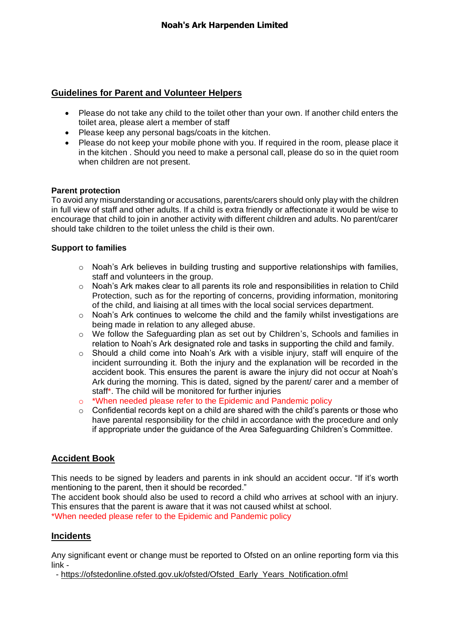## **Guidelines for Parent and Volunteer Helpers**

- Please do not take any child to the toilet other than your own. If another child enters the toilet area, please alert a member of staff
- Please keep any personal bags/coats in the kitchen.
- Please do not keep your mobile phone with you. If required in the room, please place it in the kitchen . Should you need to make a personal call, please do so in the quiet room when children are not present.

#### **Parent protection**

To avoid any misunderstanding or accusations, parents/carers should only play with the children in full view of staff and other adults. If a child is extra friendly or affectionate it would be wise to encourage that child to join in another activity with different children and adults. No parent/carer should take children to the toilet unless the child is their own.

#### **Support to families**

- $\circ$  Noah's Ark believes in building trusting and supportive relationships with families, staff and volunteers in the group.
- o Noah's Ark makes clear to all parents its role and responsibilities in relation to Child Protection, such as for the reporting of concerns, providing information, monitoring of the child, and liaising at all times with the local social services department.
- $\circ$  Noah's Ark continues to welcome the child and the family whilst investigations are being made in relation to any alleged abuse.
- o We follow the Safeguarding plan as set out by Children's, Schools and families in relation to Noah's Ark designated role and tasks in supporting the child and family.
- $\circ$  Should a child come into Noah's Ark with a visible injury, staff will enquire of the incident surrounding it. Both the injury and the explanation will be recorded in the accident book. This ensures the parent is aware the injury did not occur at Noah's Ark during the morning. This is dated, signed by the parent/ carer and a member of staff\*. The child will be monitored for further injuries
- o \*When needed please refer to the Epidemic and Pandemic policy
- o Confidential records kept on a child are shared with the child's parents or those who have parental responsibility for the child in accordance with the procedure and only if appropriate under the guidance of the Area Safeguarding Children's Committee.

## **Accident Book**

This needs to be signed by leaders and parents in ink should an accident occur. "If it's worth mentioning to the parent, then it should be recorded."

The accident book should also be used to record a child who arrives at school with an injury. This ensures that the parent is aware that it was not caused whilst at school.

\*When needed please refer to the Epidemic and Pandemic policy

## **Incidents**

Any significant event or change must be reported to Ofsted on an online reporting form via this link -

- [https://ofstedonline.ofsted.gov.uk/ofsted/Ofsted\\_Early\\_Years\\_Notification.ofml](https://ofstedonline.ofsted.gov.uk/ofsted/Ofsted_Early_Years_Notification.ofml)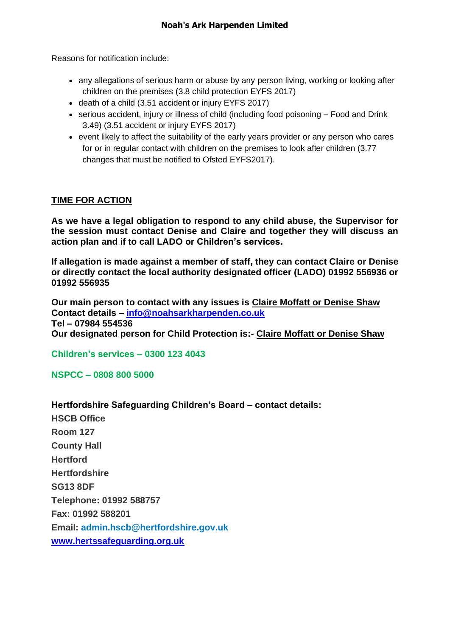Reasons for notification include:

- any allegations of serious harm or abuse by any person living, working or looking after children on the premises (3.8 child protection EYFS 2017)
- death of a child (3.51 accident or injury EYFS 2017)
- serious accident, injury or illness of child (including food poisoning Food and Drink 3.49) (3.51 accident or injury EYFS 2017)
- event likely to affect the suitability of the early years provider or any person who cares for or in regular contact with children on the premises to look after children (3.77 changes that must be notified to Ofsted EYFS2017).

## **TIME FOR ACTION**

**As we have a legal obligation to respond to any child abuse, the Supervisor for the session must contact Denise and Claire and together they will discuss an action plan and if to call LADO or Children's services.**

**If allegation is made against a member of staff, they can contact Claire or Denise or directly contact the local authority designated officer (LADO) 01992 556936 or 01992 556935**

**Our main person to contact with any issues is Claire Moffatt or Denise Shaw Contact details – [info@noahsarkharpenden.co.uk](mailto:info@noahsarkharpenden.co.uk) Tel – 07984 554536 Our designated person for Child Protection is:- Claire Moffatt or Denise Shaw**

**Children's services – 0300 123 4043**

**NSPCC – 0808 800 5000**

**Hertfordshire Safeguarding Children's Board – contact details: HSCB Office Room 127 County Hall Hertford Hertfordshire SG13 8DF Telephone: 01992 588757 Fax: 01992 588201 Email: [admin.hscb@hertfordshire.gov.uk](mailto:admin.hscb@hertfordshire.gov.uk) [www.hertssafeguarding.org.uk](http://www.hertssafeguarding.org.uk/)**